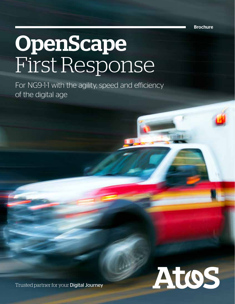Brochure

# OpenScape First Response

For NG9-1-1 with the agility, speed and efficiency of the digital age



Trusted partner for your Digital Journey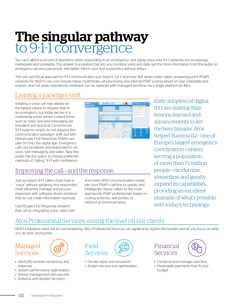## The singular pathway to 9-1-1 convergence

You can't afford a second of downtime when responding to an emergency—but aging voice-only 9-1-1 networks are increasingly inadequate and unreliable. The answer is a solution that lets you combine voice and data, get the most information from the public to emergency services personnel, and better inform your first responders without delays..

The one-size-fits-all approach to 9-1-1 communication just doesn't cut it anymore. Not when public safety answering point (PSAP) solutions for NG9-1-1 can now include native multimedia call processing and internal PSAP routing based on user roles/skills and policies. And not when operational overloads can be replaced with managed workflow via a single platform by Atos.

#### Leading a paradigm shift

Initiating a voice call may always be the fastest means to request help in an emergency, but today we live in a multimedia world, where content forms such as video, text and messaging are prevalent and practical. Conventional 9-1-1 systems simply do not support this communication paradigm shift, but with OpenScape First Response, PSAPs can take 9-1-1 into the digital age. Emergency calls can be placed and responded to via voice, text messaging and video. Now the public has the option to choose preferred methods of "calling" 9-1-1 with confidence.

#### Improving the call—and the response

Just as today's 9-1-1 callers must have a "voice" without speaking, first responders must efficiently manage and process responses with software-driven solutions that do not create information overload.

OpenScape First Response answers that call by integrating voice, video, text



and many other communication media into your PSAP's call flow to quickly and intelligently deliver callers to the most appropriate PSAP professionals based on routing schemes, skill profiles or method of communication.

Early adopters of digital 9-1-1 are sharing their lessons learned and advancements to set the benchmarks. Atos helped Summa 112—one of Europe's largest emergency coordination centers, serving a population of more than 71 million people—modernize, streamline and greatly expand its capabilities, providing an excellent example of what's possible with today's technology.

#### Atos Professional Services: easing the load on our clients

NG9-1-1 solutions need not be overwhelming. Atos' Professional Services can significantly lighten the burden and let you focus on what you do best: saving lives.

#### Managed Services



- 24x7x365 remote monitoring and response
- System performance optimization
- Device management and security
- Antivirus and disaster recovery



- On-site repair and resolution
- System service and optimization





- Conserve and manage cash flow
- Predictable payments that fit your budget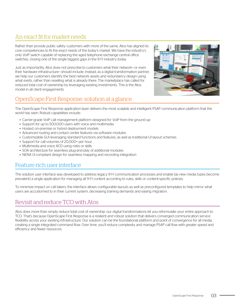#### An exact fit for market needs

Rather than provide public safety customers with more of the same, Atos has aligned its core competencies to fit the exact needs of the today's market. We have the industry's only VoIP switch capable of replacing the aged telephone exchange central office switches, closing one of the single biggest gaps in the 9-1-1 industry today.

Just as importantly, Atos does not prescribe to customers what their network—or even their hardware infrastructure—should include. Instead, as a digital transformation partner, we help our customers identify the best network assets and redundancy design using what exists, rather than reselling what is already there. The marketplace has called for reduced total cost of ownership by leveraging existing investments. This is the Atos model in all client engagements.

#### OpenScape First Response: solution at a glance

The OpenScape First Response application layer delivers the most scalable and intelligent PSAP communication platform that the world has seen. Robust capabilities include:

- Carrier-grade VoIP call management platform designed for VoIP from the ground up
- Support for up to 500,000 users with voice and multimedia
- Hosted, on-premise or hybrid deployment models
- Advanced routing and contact center features via software modules
- Customizable GUI leveraging standard functions and features, as well as traditional UI layout schemes
- Support for call volumes of 20,000+ per hour
- Multimedia and voice ACD using roles or skills
- SOA architecture for seamless plug-and-play of additional modules
- NENA i3-compliant design for seamless mapping and recording integration

#### Feature-rich user interface

The solution user interface was developed to address legacy 9-1-1 communication processes and enable (as new media types become prevalent) a single application for managing all 9-1-1 content according to rules, skills or content-specific policies.

To minimize impact on call takers, the interface allows configurable layouts as well as preconfigured templates to help mirror what users are accustomed to in their current system, decreasing training demands and easing migration.

#### Revisit and reduce TCO with Atos

Atos does more than simply reduce total cost of ownership: our digital transformations let you reformulate your entire approach to TCO. That's because OpenScape First Response is a resilient and robust solution that delivers converged communication service flexibility across your existing infrastructure. Our solution can be the foundational platform and point of convergence for all media, creating a single integrated command flow. Over time, you'll reduce complexity and manage PSAP call flow with greater speed and efficiency and fewer resources.